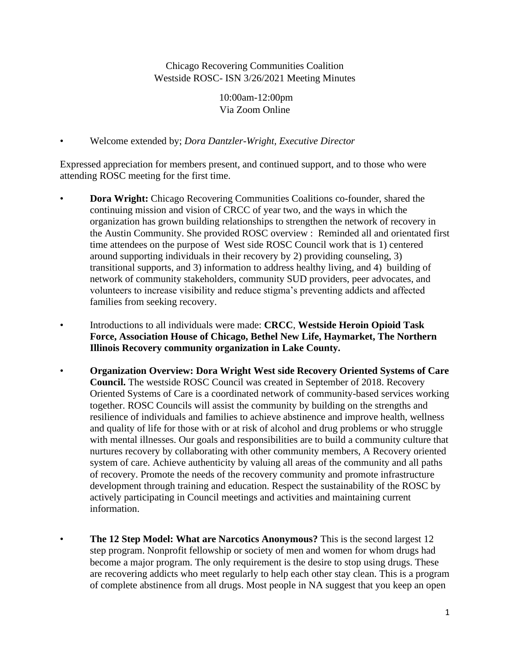Chicago Recovering Communities Coalition Westside ROSC- ISN 3/26/2021 Meeting Minutes

> 10:00am-12:00pm Via Zoom Online

• Welcome extended by; *Dora Dantzler-Wright, Executive Director*

Expressed appreciation for members present, and continued support, and to those who were attending ROSC meeting for the first time.

- **Dora Wright:** Chicago Recovering Communities Coalitions co-founder, shared the continuing mission and vision of CRCC of year two, and the ways in which the organization has grown building relationships to strengthen the network of recovery in the Austin Community. She provided ROSC overview : Reminded all and orientated first time attendees on the purpose of West side ROSC Council work that is 1) centered around supporting individuals in their recovery by 2) providing counseling, 3) transitional supports, and 3) information to address healthy living, and 4) building of network of community stakeholders, community SUD providers, peer advocates, and volunteers to increase visibility and reduce stigma's preventing addicts and affected families from seeking recovery.
- Introductions to all individuals were made: **CRCC**, **Westside Heroin Opioid Task Force, Association House of Chicago, Bethel New Life, Haymarket, The Northern Illinois Recovery community organization in Lake County.**
- **Organization Overview: Dora Wright West side Recovery Oriented Systems of Care Council.** The westside ROSC Council was created in September of 2018. Recovery Oriented Systems of Care is a coordinated network of community-based services working together. ROSC Councils will assist the community by building on the strengths and resilience of individuals and families to achieve abstinence and improve health, wellness and quality of life for those with or at risk of alcohol and drug problems or who struggle with mental illnesses. Our goals and responsibilities are to build a community culture that nurtures recovery by collaborating with other community members, A Recovery oriented system of care. Achieve authenticity by valuing all areas of the community and all paths of recovery. Promote the needs of the recovery community and promote infrastructure development through training and education. Respect the sustainability of the ROSC by actively participating in Council meetings and activities and maintaining current information.
- **The 12 Step Model: What are Narcotics Anonymous?** This is the second largest 12 step program. Nonprofit fellowship or society of men and women for whom drugs had become a major program. The only requirement is the desire to stop using drugs. These are recovering addicts who meet regularly to help each other stay clean. This is a program of complete abstinence from all drugs. Most people in NA suggest that you keep an open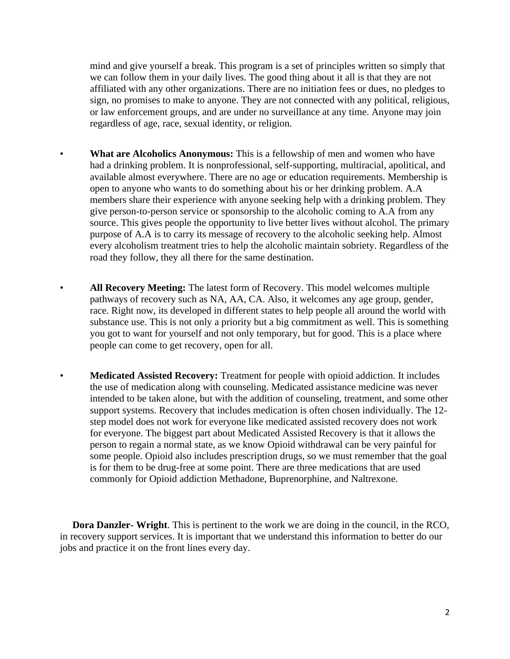mind and give yourself a break. This program is a set of principles written so simply that we can follow them in your daily lives. The good thing about it all is that they are not affiliated with any other organizations. There are no initiation fees or dues, no pledges to sign, no promises to make to anyone. They are not connected with any political, religious, or law enforcement groups, and are under no surveillance at any time. Anyone may join regardless of age, race, sexual identity, or religion.

- **What are Alcoholics Anonymous:** This is a fellowship of men and women who have had a drinking problem. It is nonprofessional, self-supporting, multiracial, apolitical, and available almost everywhere. There are no age or education requirements. Membership is open to anyone who wants to do something about his or her drinking problem. A.A members share their experience with anyone seeking help with a drinking problem. They give person-to-person service or sponsorship to the alcoholic coming to A.A from any source. This gives people the opportunity to live better lives without alcohol. The primary purpose of A.A is to carry its message of recovery to the alcoholic seeking help. Almost every alcoholism treatment tries to help the alcoholic maintain sobriety. Regardless of the road they follow, they all there for the same destination.
- **All Recovery Meeting:** The latest form of Recovery. This model welcomes multiple pathways of recovery such as NA, AA, CA. Also, it welcomes any age group, gender, race. Right now, its developed in different states to help people all around the world with substance use. This is not only a priority but a big commitment as well. This is something you got to want for yourself and not only temporary, but for good. This is a place where people can come to get recovery, open for all.
- **Medicated Assisted Recovery:** Treatment for people with opioid addiction. It includes the use of medication along with counseling. Medicated assistance medicine was never intended to be taken alone, but with the addition of counseling, treatment, and some other support systems. Recovery that includes medication is often chosen individually. The 12 step model does not work for everyone like medicated assisted recovery does not work for everyone. The biggest part about Medicated Assisted Recovery is that it allows the person to regain a normal state, as we know Opioid withdrawal can be very painful for some people. Opioid also includes prescription drugs, so we must remember that the goal is for them to be drug-free at some point. There are three medications that are used commonly for Opioid addiction Methadone, Buprenorphine, and Naltrexone.

 **Dora Danzler- Wright**. This is pertinent to the work we are doing in the council, in the RCO, in recovery support services. It is important that we understand this information to better do our jobs and practice it on the front lines every day.